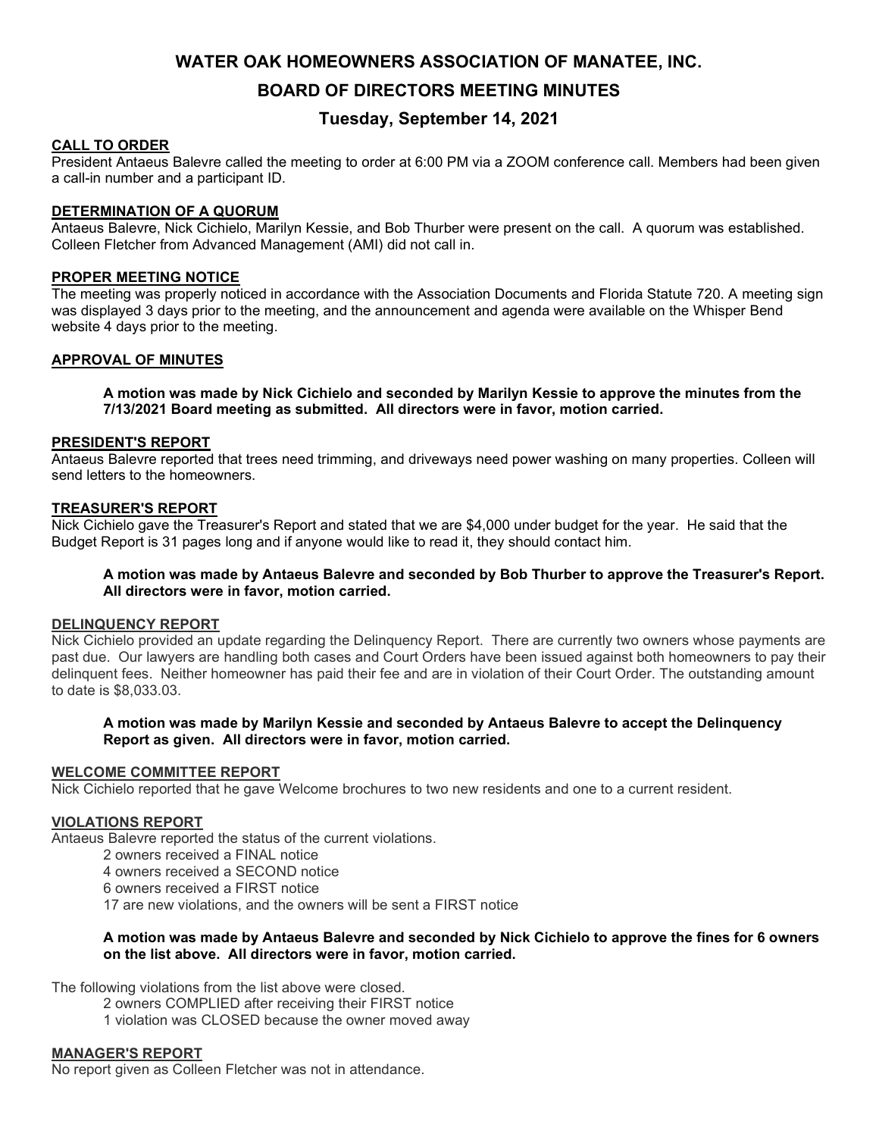# WATER OAK HOMEOWNERS ASSOCIATION OF MANATEE, INC.

BOARD OF DIRECTORS MEETING MINUTES

# Tuesday, September 14, 2021

# CALL TO ORDER

President Antaeus Balevre called the meeting to order at 6:00 PM via a ZOOM conference call. Members had been given a call-in number and a participant ID.

### DETERMINATION OF A QUORUM

Antaeus Balevre, Nick Cichielo, Marilyn Kessie, and Bob Thurber were present on the call. A quorum was established. Colleen Fletcher from Advanced Management (AMI) did not call in.

### PROPER MEETING NOTICE

The meeting was properly noticed in accordance with the Association Documents and Florida Statute 720. A meeting sign was displayed 3 days prior to the meeting, and the announcement and agenda were available on the Whisper Bend website 4 days prior to the meeting.

### APPROVAL OF MINUTES

A motion was made by Nick Cichielo and seconded by Marilyn Kessie to approve the minutes from the 7/13/2021 Board meeting as submitted. All directors were in favor, motion carried.

### PRESIDENT'S REPORT

Antaeus Balevre reported that trees need trimming, and driveways need power washing on many properties. Colleen will send letters to the homeowners.

### TREASURER'S REPORT

Nick Cichielo gave the Treasurer's Report and stated that we are \$4,000 under budget for the year. He said that the Budget Report is 31 pages long and if anyone would like to read it, they should contact him.

## A motion was made by Antaeus Balevre and seconded by Bob Thurber to approve the Treasurer's Report. All directors were in favor, motion carried.

# DELINQUENCY REPORT

Nick Cichielo provided an update regarding the Delinquency Report. There are currently two owners whose payments are past due. Our lawyers are handling both cases and Court Orders have been issued against both homeowners to pay their delinquent fees. Neither homeowner has paid their fee and are in violation of their Court Order. The outstanding amount to date is \$8,033.03.

### A motion was made by Marilyn Kessie and seconded by Antaeus Balevre to accept the Delinquency Report as given. All directors were in favor, motion carried.

### WELCOME COMMITTEE REPORT

Nick Cichielo reported that he gave Welcome brochures to two new residents and one to a current resident.

### VIOLATIONS REPORT

Antaeus Balevre reported the status of the current violations.

- 2 owners received a FINAL notice
- 4 owners received a SECOND notice
- 6 owners received a FIRST notice
- 17 are new violations, and the owners will be sent a FIRST notice

### A motion was made by Antaeus Balevre and seconded by Nick Cichielo to approve the fines for 6 owners on the list above. All directors were in favor, motion carried.

The following violations from the list above were closed.

- 2 owners COMPLIED after receiving their FIRST notice
- 1 violation was CLOSED because the owner moved away

### MANAGER'S REPORT

No report given as Colleen Fletcher was not in attendance.